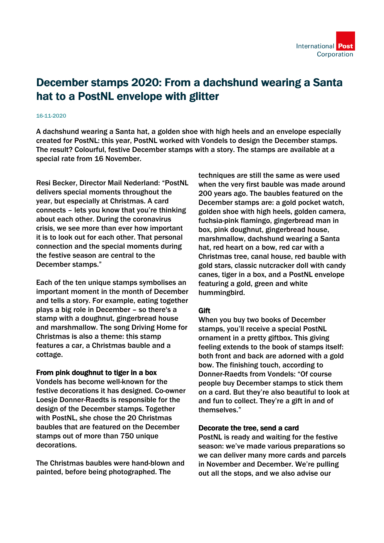# December stamps 2020: From a dachshund wearing a Santa hat to a PostNL envelope with glitter

#### 16-11-2020

A dachshund wearing a Santa hat, a golden shoe with high heels and an envelope especially created for PostNL: this year, PostNL worked with Vondels to design the December stamps. The result? Colourful, festive December stamps with a story. The stamps are available at a special rate from 16 November.

Resi Becker, Director Mail Nederland: "PostNL delivers special moments throughout the year, but especially at Christmas. A card connects – lets you know that you're thinking about each other. During the coronavirus crisis, we see more than ever how important it is to look out for each other. That personal connection and the special moments during the festive season are central to the December stamps."

Each of the ten unique stamps symbolises an important moment in the month of December and tells a story. For example, eating together plays a big role in December – so there's a stamp with a doughnut, gingerbread house and marshmallow. The song Driving Home for Christmas is also a theme: this stamp features a car, a Christmas bauble and a cottage.

### From pink doughnut to tiger in a box

Vondels has become well-known for the festive decorations it has designed. Co-owner Loesje Donner-Raedts is responsible for the design of the December stamps. Together with PostNL, she chose the 20 Christmas baubles that are featured on the December stamps out of more than 750 unique decorations.

The Christmas baubles were hand-blown and painted, before being photographed. The

techniques are still the same as were used when the very first bauble was made around 200 years ago. The baubles featured on the December stamps are: a gold pocket watch, golden shoe with high heels, golden camera, fuchsia-pink flamingo, gingerbread man in box, pink doughnut, gingerbread house, marshmallow, dachshund wearing a Santa hat, red heart on a bow, red car with a Christmas tree, canal house, red bauble with gold stars, classic nutcracker doll with candy canes, tiger in a box, and a PostNL envelope featuring a gold, green and white hummingbird.

## **Gift**

When you buy two books of December stamps, you'll receive a special PostNL ornament in a pretty giftbox. This giving feeling extends to the book of stamps itself: both front and back are adorned with a gold bow. The finishing touch, according to Donner-Raedts from Vondels: "Of course people buy December stamps to stick them on a card. But they're also beautiful to look at and fun to collect. They're a gift in and of themselves."

## Decorate the tree, send a card

PostNL is ready and waiting for the festive season: we've made various preparations so we can deliver many more cards and parcels in November and December. We're pulling out all the stops, and we also advise our